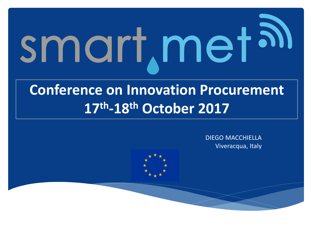# smart, metal

#### **Conference on Innovation Procurement 17th -18th October 2017**

DIEGO MACCHIELLA Viveracqua, Italy

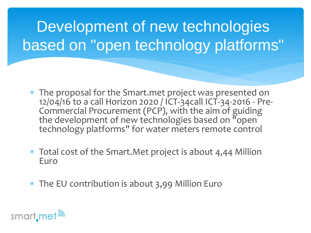#### Development of new technologies based on "open technology platforms"

- The proposal for the Smart.met project was presented on 12/04/16 to a call Horizon 2020 / ICT-34call ICT-34-2016 - Pre-Commercial Procurement (PCP), with the aim of guiding the development of new technologies based on "open" technology platforms" for water meters remote control
- Total cost of the Smart.Met project is about 4,44 Million Euro
- The EU contribution is about 3,99 Million Euro

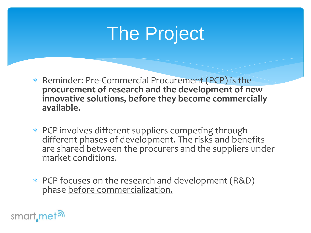# The Project

- Reminder: Pre-Commercial Procurement (PCP) is the **procurement of research and the development of new innovative solutions, before they become commercially available.**
- PCP involves different suppliers competing through different phases of development. The risks and benefits are shared between the procurers and the suppliers under market conditions.
- PCP focuses on the research and development (R&D) phase before commercialization.

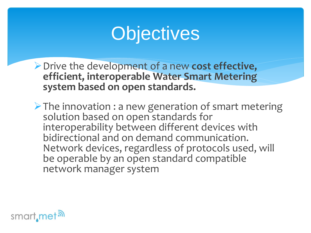## **Objectives**

- Drive the development of a new **cost effective, efficient, interoperable Water Smart Metering system based on open standards.**
- $\triangleright$  The innovation : a new generation of smart metering solution based on open standards for interoperability between different devices with bidirectional and on demand communication. Network devices, regardless of protocols used, will be operable by an open standard compatible network manager system

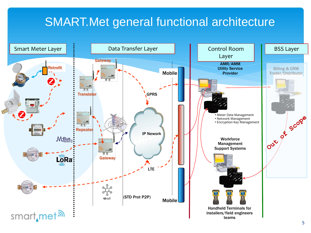#### SMART.Met general functional architecture

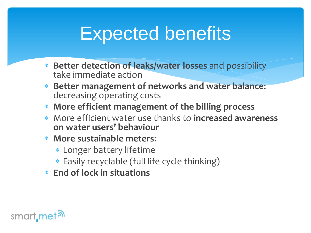### Expected benefits

- **Better detection of leaks/water losses** and possibility take immediate action
- **Better management of networks and water balance**: decreasing operating costs
- **More efficient management of the billing process**
- More efficient water use thanks to **increased awareness on water users' behaviour**
- **More sustainable meters**:
	- Longer battery lifetime
	- Easily recyclable (full life cycle thinking)
- **End of lock in situations**

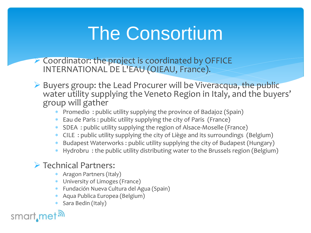# The Consortium

- ▶ Coordinator: the project is coordinated by OFFICE INTERNATIONAL DE L'EAU (OIEAU, France).
- ▶ Buyers group: the Lead Procurer will be Viveracqua, the public water utility supplying the Veneto Region in Italy, and the buyers' group will gather
	- Promedio : public utility supplying the province of Badajoz (Spain)
	- Eau de Paris : public utility supplying the city of Paris (France)
	- SDEA : public utility supplying the region of Alsace-Moselle (France)
	- CILE : public utility supplying the city of Liège and its surroundings (Belgium)
	- Budapest Waterworks : public utility supplying the city of Budapest (Hungary)
	- Hydrobru : the public utility distributing water to the Brussels region (Belgium)

#### > Technical Partners:

- Aragon Partners (Italy)
- University of Limoges (France)
- Fundación Nueva Cultura del Agua (Spain)
- Aqua Publica Europea (Belgium)
- Sara Bedin (Italy)

smart, met<sup>al</sup>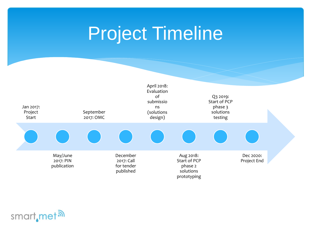# Project Timeline



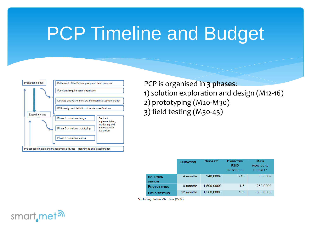#### PCP Timeline and Budget



PCP is organised in **3 phases**: 1) solution exploration and design (M12-16) 2) prototyping (M20-M30) 3) field testing (M30-45)

|                                  | <b>DURATION</b> | <b>BUDGET*</b> | <b>EXPECTED</b><br>R&D<br><b>PROVIDERS</b> | <b>MAXI</b><br><b>INDIVIDUAL</b><br><b>BUDGET*</b> |
|----------------------------------|-----------------|----------------|--------------------------------------------|----------------------------------------------------|
| <b>SOLUTION</b><br><b>DESIGN</b> | 4 months        | 240,000€       | $8 - 10$                                   | 30,000€                                            |
| <b>PROTOTYPING</b>               | 9 months        | 1,500,000€     | $4 - 6$                                    | 250,000€                                           |
| <b>FIELD TESTING</b>             | 12 months       | 1.500.000€     | $2 - 3$                                    | 500,000€                                           |

\*including Italian VAT rate (22%)

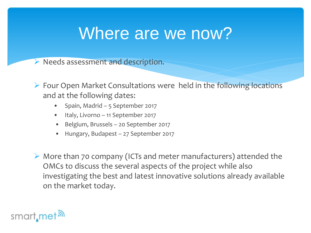#### Where are we now?

 $\triangleright$  Needs assessment and description.

- ▶ Four Open Market Consultations were held in the following locations and at the following dates:
	- Spain, Madrid 5 September 2017
	- Italy, Livorno 11 September 2017
	- Belgium, Brussels 20 September 2017
	- Hungary, Budapest 27 September 2017
- More than 70 company (ICTs and meter manufacturers) attended the OMCs to discuss the several aspects of the project while also investigating the best and latest innovative solutions already available on the market today.

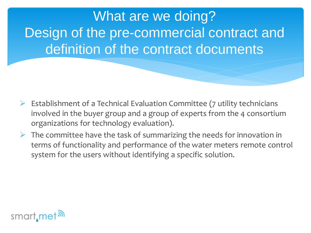What are we doing? Design of the pre-commercial contract and definition of the contract documents

- $\triangleright$  Establishment of a Technical Evaluation Committee (7 utility technicians involved in the buyer group and a group of experts from the 4 consortium organizations for technology evaluation).
- $\triangleright$  The committee have the task of summarizing the needs for innovation in terms of functionality and performance of the water meters remote control system for the users without identifying a specific solution.

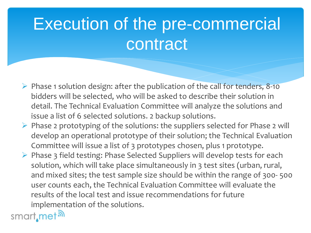# Execution of the pre-commercial contract

- $\triangleright$  Phase 1 solution design: after the publication of the call for tenders, 8-10 bidders will be selected, who will be asked to describe their solution in detail. The Technical Evaluation Committee will analyze the solutions and issue a list of 6 selected solutions. 2 backup solutions.
- $\triangleright$  Phase 2 prototyping of the solutions: the suppliers selected for Phase 2 will develop an operational prototype of their solution; the Technical Evaluation Committee will issue a list of 3 prototypes chosen, plus 1 prototype.
- $\triangleright$  Phase 3 field testing: Phase Selected Suppliers will develop tests for each solution, which will take place simultaneously in 3 test sites (urban, rural, and mixed sites; the test sample size should be within the range of 300- 500 user counts each, the Technical Evaluation Committee will evaluate the results of the local test and issue recommendations for future implementation of the solutions.

smart<sub>, met</sub><sub>a</sub>